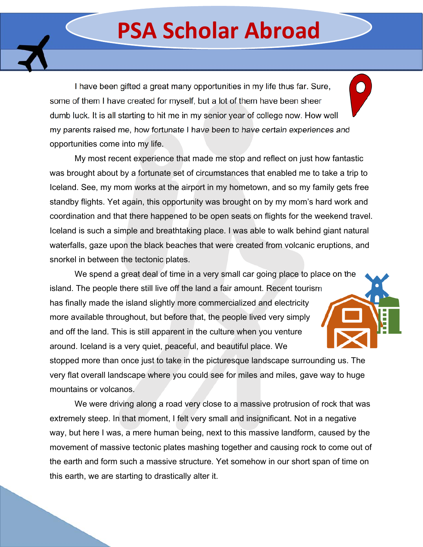## **PSA Scholar Abroad**

I have been gifted a great many opportunities in my life thus far. Sure, some of them I have created for myself, but a lot of them have been sheer dumb luck. It is all starting to hit me in my senior year of college now. How well my parents raised me, how fortunate I have been to have certain experiences and opportunities come into my life.

 My most recent experience that made me stop and reflect on just how fantastic was brought about by a fortunate set of circumstances that enabled me to take a trip to Iceland. See, my mom works at the airport in my hometown, and so my family gets free standby flights. Yet again, this opportunity was brought on by my mom's hard work and coordination and that there happened to be open seats on flights for the weekend travel. Iceland is such a simple and breathtaking place. I was able to walk behind giant natural waterfalls, gaze upon the black beaches that were created from volcanic eruptions, and snorkel in between the tectonic plates.

We spend a great deal of time in a very small car going place to place on the island. The people there still live off the land a fair amount. Recent tourism has finally made the island slightly more commercialized and electricity more available throughout, but before that, the people lived very simply and off the land. This is still apparent in the culture when you venture around. Iceland is a very quiet, peaceful, and beautiful place. We

stopped more than once just to take in the picturesque landscape surrounding us. The very flat overall landscape where you could see for miles and miles, gave way to huge mountains or volcanos.

 We were driving along a road very close to a massive protrusion of rock that was extremely steep. In that moment, I felt very small and insignificant. Not in a negative way, but here I was, a mere human being, next to this massive landform, caused by the movement of massive tectonic plates mashing together and causing rock to come out of the earth and form such a massive structure. Yet somehow in our short span of time on this earth, we are starting to drastically alter it.